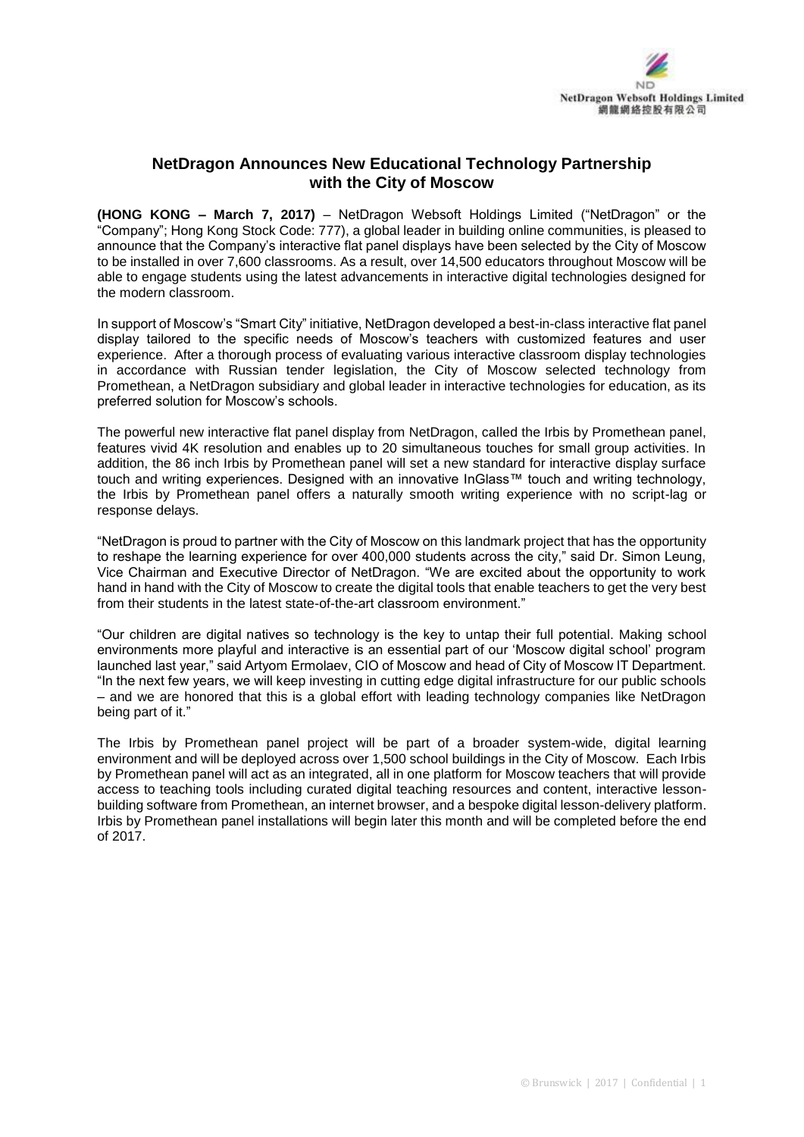

## **NetDragon Announces New Educational Technology Partnership with the City of Moscow**

**(HONG KONG – March 7, 2017)** – NetDragon Websoft Holdings Limited ("NetDragon" or the "Company"; Hong Kong Stock Code: 777), a global leader in building online communities, is pleased to announce that the Company's interactive flat panel displays have been selected by the City of Moscow to be installed in over 7,600 classrooms. As a result, over 14,500 educators throughout Moscow will be able to engage students using the latest advancements in interactive digital technologies designed for the modern classroom.

In support of Moscow's "Smart City" initiative, NetDragon developed a best-in-class interactive flat panel display tailored to the specific needs of Moscow's teachers with customized features and user experience. After a thorough process of evaluating various interactive classroom display technologies in accordance with Russian tender legislation, the City of Moscow selected technology from Promethean, a NetDragon subsidiary and global leader in interactive technologies for education, as its preferred solution for Moscow's schools.

The powerful new interactive flat panel display from NetDragon, called the Irbis by Promethean panel, features vivid 4K resolution and enables up to 20 simultaneous touches for small group activities. In addition, the 86 inch Irbis by Promethean panel will set a new standard for interactive display surface touch and writing experiences. Designed with an innovative InGlass™ touch and writing technology, the Irbis by Promethean panel offers a naturally smooth writing experience with no script-lag or response delays.

"NetDragon is proud to partner with the City of Moscow on this landmark project that has the opportunity to reshape the learning experience for over 400,000 students across the city," said Dr. Simon Leung, Vice Chairman and Executive Director of NetDragon. "We are excited about the opportunity to work hand in hand with the City of Moscow to create the digital tools that enable teachers to get the very best from their students in the latest state-of-the-art classroom environment."

"Our children are digital natives so technology is the key to untap their full potential. Making school environments more playful and interactive is an essential part of our 'Moscow digital school' program launched last year," said Artyom Ermolaev, CIO of Moscow and head of City of Moscow IT Department. "In the next few years, we will keep investing in cutting edge digital infrastructure for our public schools – and we are honored that this is a global effort with leading technology companies like NetDragon being part of it."

The Irbis by Promethean panel project will be part of a broader system-wide, digital learning environment and will be deployed across over 1,500 school buildings in the City of Moscow. Each Irbis by Promethean panel will act as an integrated, all in one platform for Moscow teachers that will provide access to teaching tools including curated digital teaching resources and content, interactive lessonbuilding software from Promethean, an internet browser, and a bespoke digital lesson-delivery platform. Irbis by Promethean panel installations will begin later this month and will be completed before the end of 2017.